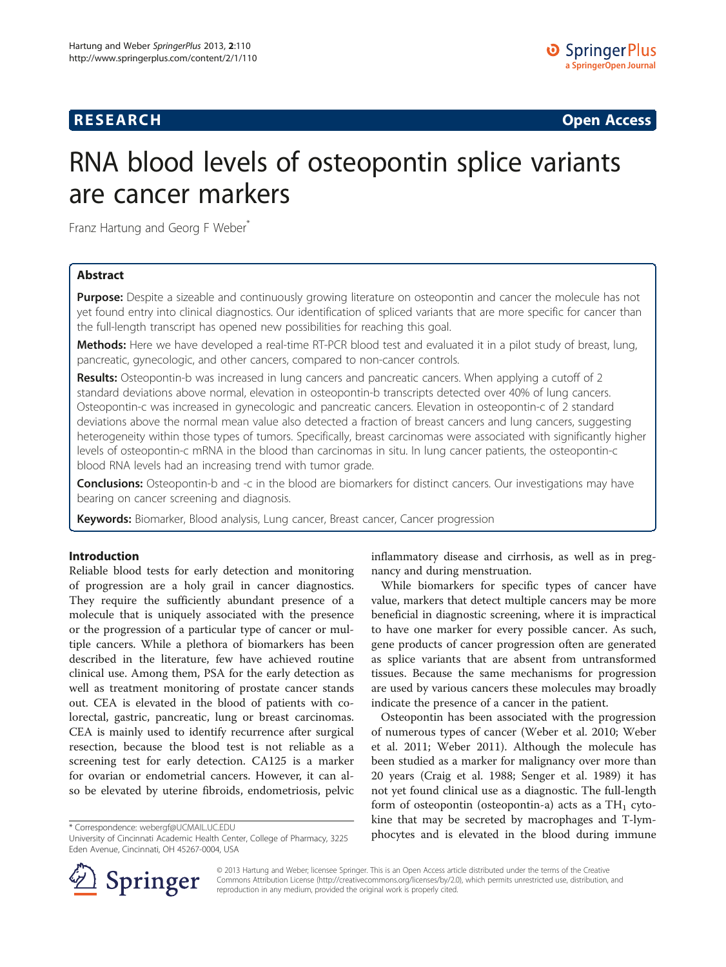# **RESEARCH RESEARCH CONSUMING ACCESS**

# RNA blood levels of osteopontin splice variants are cancer markers

Franz Hartung and Georg F Weber<sup>\*</sup>

# Abstract

Purpose: Despite a sizeable and continuously growing literature on osteopontin and cancer the molecule has not yet found entry into clinical diagnostics. Our identification of spliced variants that are more specific for cancer than the full-length transcript has opened new possibilities for reaching this goal.

Methods: Here we have developed a real-time RT-PCR blood test and evaluated it in a pilot study of breast, lung, pancreatic, gynecologic, and other cancers, compared to non-cancer controls.

Results: Osteopontin-b was increased in lung cancers and pancreatic cancers. When applying a cutoff of 2 standard deviations above normal, elevation in osteopontin-b transcripts detected over 40% of lung cancers. Osteopontin-c was increased in gynecologic and pancreatic cancers. Elevation in osteopontin-c of 2 standard deviations above the normal mean value also detected a fraction of breast cancers and lung cancers, suggesting heterogeneity within those types of tumors. Specifically, breast carcinomas were associated with significantly higher levels of osteopontin-c mRNA in the blood than carcinomas in situ. In lung cancer patients, the osteopontin-c blood RNA levels had an increasing trend with tumor grade.

Conclusions: Osteopontin-b and -c in the blood are biomarkers for distinct cancers. Our investigations may have bearing on cancer screening and diagnosis.

Keywords: Biomarker, Blood analysis, Lung cancer, Breast cancer, Cancer progression

## Introduction

Reliable blood tests for early detection and monitoring of progression are a holy grail in cancer diagnostics. They require the sufficiently abundant presence of a molecule that is uniquely associated with the presence or the progression of a particular type of cancer or multiple cancers. While a plethora of biomarkers has been described in the literature, few have achieved routine clinical use. Among them, PSA for the early detection as well as treatment monitoring of prostate cancer stands out. CEA is elevated in the blood of patients with colorectal, gastric, pancreatic, lung or breast carcinomas. CEA is mainly used to identify recurrence after surgical resection, because the blood test is not reliable as a screening test for early detection. CA125 is a marker for ovarian or endometrial cancers. However, it can also be elevated by uterine fibroids, endometriosis, pelvic

University of Cincinnati Academic Health Center, College of Pharmacy, 3225 Eden Avenue, Cincinnati, OH 45267-0004, USA

inflammatory disease and cirrhosis, as well as in pregnancy and during menstruation.

While biomarkers for specific types of cancer have value, markers that detect multiple cancers may be more beneficial in diagnostic screening, where it is impractical to have one marker for every possible cancer. As such, gene products of cancer progression often are generated as splice variants that are absent from untransformed tissues. Because the same mechanisms for progression are used by various cancers these molecules may broadly indicate the presence of a cancer in the patient.

Osteopontin has been associated with the progression of numerous types of cancer (Weber et al. [2010](#page-7-0); Weber et al. [2011](#page-7-0); Weber [2011\)](#page-7-0). Although the molecule has been studied as a marker for malignancy over more than 20 years (Craig et al. [1988;](#page-7-0) Senger et al. [1989](#page-7-0)) it has not yet found clinical use as a diagnostic. The full-length form of osteopontin (osteopontin-a) acts as a  $TH_1$  cytokine that may be secreted by macrophages and T-lym\* Correspondence: [webergf@UCMAIL.UC.EDU](mailto:webergf@UCMAIL.UC.EDU)<br>University of Cincinnati Academic Health Center College of Pharmacy 3225 **phocytes and is elevated in the blood during immune** 



© 2013 Hartung and Weber; licensee Springer. This is an Open Access article distributed under the terms of the Creative Commons Attribution License (<http://creativecommons.org/licenses/by/2.0>), which permits unrestricted use, distribution, and reproduction in any medium, provided the original work is properly cited.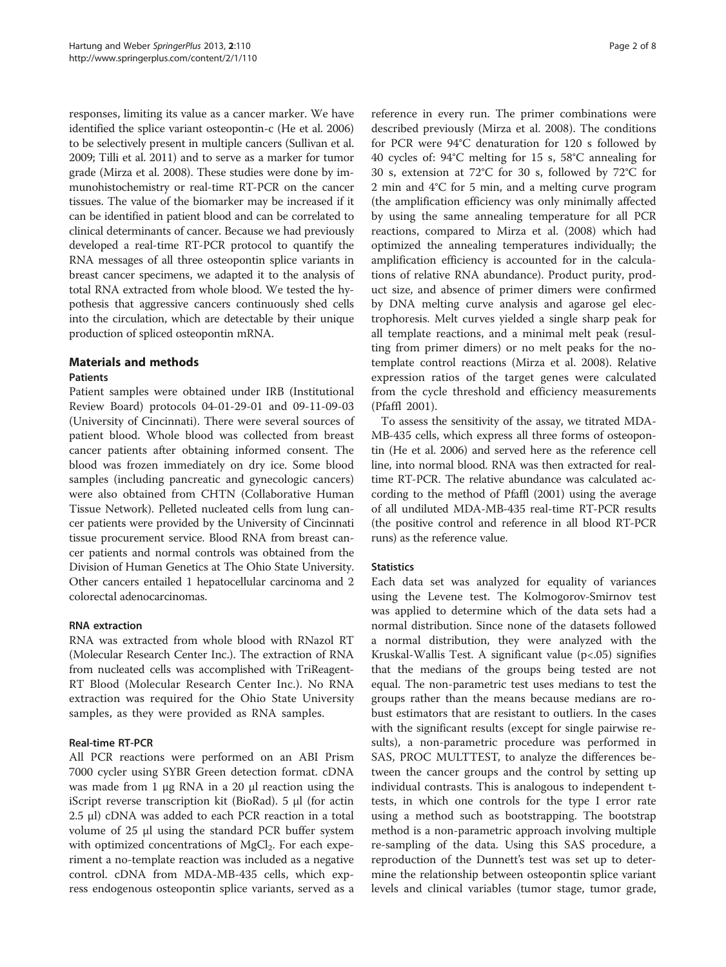responses, limiting its value as a cancer marker. We have identified the splice variant osteopontin-c (He et al. [2006](#page-7-0)) to be selectively present in multiple cancers (Sullivan et al. [2009;](#page-7-0) Tilli et al. [2011](#page-7-0)) and to serve as a marker for tumor grade (Mirza et al. [2008](#page-7-0)). These studies were done by immunohistochemistry or real-time RT-PCR on the cancer tissues. The value of the biomarker may be increased if it can be identified in patient blood and can be correlated to clinical determinants of cancer. Because we had previously developed a real-time RT-PCR protocol to quantify the RNA messages of all three osteopontin splice variants in breast cancer specimens, we adapted it to the analysis of total RNA extracted from whole blood. We tested the hypothesis that aggressive cancers continuously shed cells into the circulation, which are detectable by their unique production of spliced osteopontin mRNA.

# Materials and methods

## Patients

Patient samples were obtained under IRB (Institutional Review Board) protocols 04-01-29-01 and 09-11-09-03 (University of Cincinnati). There were several sources of patient blood. Whole blood was collected from breast cancer patients after obtaining informed consent. The blood was frozen immediately on dry ice. Some blood samples (including pancreatic and gynecologic cancers) were also obtained from CHTN (Collaborative Human Tissue Network). Pelleted nucleated cells from lung cancer patients were provided by the University of Cincinnati tissue procurement service. Blood RNA from breast cancer patients and normal controls was obtained from the Division of Human Genetics at The Ohio State University. Other cancers entailed 1 hepatocellular carcinoma and 2 colorectal adenocarcinomas.

## RNA extraction

RNA was extracted from whole blood with RNazol RT (Molecular Research Center Inc.). The extraction of RNA from nucleated cells was accomplished with TriReagent-RT Blood (Molecular Research Center Inc.). No RNA extraction was required for the Ohio State University samples, as they were provided as RNA samples.

## Real-time RT-PCR

All PCR reactions were performed on an ABI Prism 7000 cycler using SYBR Green detection format. cDNA was made from 1 μg RNA in a 20 μl reaction using the iScript reverse transcription kit (BioRad). 5 μl (for actin 2.5 μl) cDNA was added to each PCR reaction in a total volume of 25 μl using the standard PCR buffer system with optimized concentrations of  $MgCl<sub>2</sub>$ . For each experiment a no-template reaction was included as a negative control. cDNA from MDA-MB-435 cells, which express endogenous osteopontin splice variants, served as a

reference in every run. The primer combinations were described previously (Mirza et al. [2008\)](#page-7-0). The conditions for PCR were 94°C denaturation for 120 s followed by 40 cycles of: 94°C melting for 15 s, 58°C annealing for 30 s, extension at 72°C for 30 s, followed by 72°C for 2 min and 4°C for 5 min, and a melting curve program (the amplification efficiency was only minimally affected by using the same annealing temperature for all PCR reactions, compared to Mirza et al. ([2008](#page-7-0)) which had optimized the annealing temperatures individually; the amplification efficiency is accounted for in the calculations of relative RNA abundance). Product purity, product size, and absence of primer dimers were confirmed by DNA melting curve analysis and agarose gel electrophoresis. Melt curves yielded a single sharp peak for all template reactions, and a minimal melt peak (resulting from primer dimers) or no melt peaks for the notemplate control reactions (Mirza et al. [2008\)](#page-7-0). Relative expression ratios of the target genes were calculated from the cycle threshold and efficiency measurements (Pfaffl [2001](#page-7-0)).

To assess the sensitivity of the assay, we titrated MDA-MB-435 cells, which express all three forms of osteopontin (He et al. [2006\)](#page-7-0) and served here as the reference cell line, into normal blood. RNA was then extracted for realtime RT-PCR. The relative abundance was calculated according to the method of Pfaffl [\(2001](#page-7-0)) using the average of all undiluted MDA-MB-435 real-time RT-PCR results (the positive control and reference in all blood RT-PCR runs) as the reference value.

## **Statistics**

Each data set was analyzed for equality of variances using the Levene test. The Kolmogorov-Smirnov test was applied to determine which of the data sets had a normal distribution. Since none of the datasets followed a normal distribution, they were analyzed with the Kruskal-Wallis Test. A significant value (p<.05) signifies that the medians of the groups being tested are not equal. The non-parametric test uses medians to test the groups rather than the means because medians are robust estimators that are resistant to outliers. In the cases with the significant results (except for single pairwise results), a non-parametric procedure was performed in SAS, PROC MULTTEST, to analyze the differences between the cancer groups and the control by setting up individual contrasts. This is analogous to independent ttests, in which one controls for the type I error rate using a method such as bootstrapping. The bootstrap method is a non-parametric approach involving multiple re-sampling of the data. Using this SAS procedure, a reproduction of the Dunnett's test was set up to determine the relationship between osteopontin splice variant levels and clinical variables (tumor stage, tumor grade,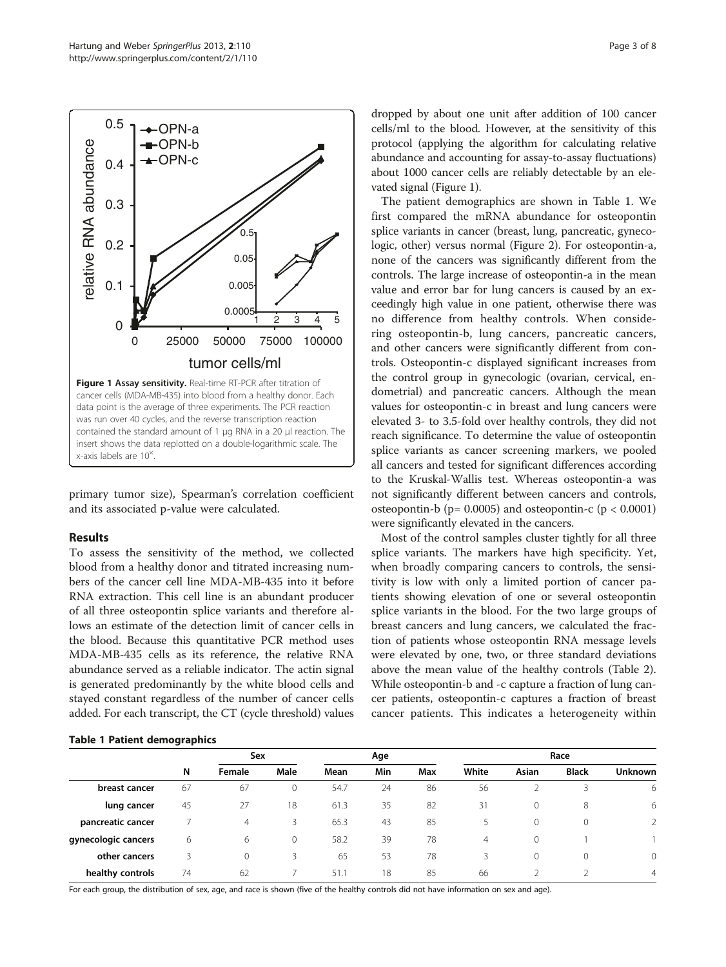

primary tumor size), Spearman's correlation coefficient and its associated p-value were calculated.

## Results

To assess the sensitivity of the method, we collected blood from a healthy donor and titrated increasing numbers of the cancer cell line MDA-MB-435 into it before RNA extraction. This cell line is an abundant producer of all three osteopontin splice variants and therefore allows an estimate of the detection limit of cancer cells in the blood. Because this quantitative PCR method uses MDA-MB-435 cells as its reference, the relative RNA abundance served as a reliable indicator. The actin signal is generated predominantly by the white blood cells and stayed constant regardless of the number of cancer cells added. For each transcript, the CT (cycle threshold) values dropped by about one unit after addition of 100 cancer cells/ml to the blood. However, at the sensitivity of this protocol (applying the algorithm for calculating relative abundance and accounting for assay-to-assay fluctuations) about 1000 cancer cells are reliably detectable by an elevated signal (Figure 1).

The patient demographics are shown in Table 1. We first compared the mRNA abundance for osteopontin splice variants in cancer (breast, lung, pancreatic, gynecologic, other) versus normal (Figure [2](#page-3-0)). For osteopontin-a, none of the cancers was significantly different from the controls. The large increase of osteopontin-a in the mean value and error bar for lung cancers is caused by an exceedingly high value in one patient, otherwise there was no difference from healthy controls. When considering osteopontin-b, lung cancers, pancreatic cancers, and other cancers were significantly different from controls. Osteopontin-c displayed significant increases from the control group in gynecologic (ovarian, cervical, endometrial) and pancreatic cancers. Although the mean values for osteopontin-c in breast and lung cancers were elevated 3- to 3.5-fold over healthy controls, they did not reach significance. To determine the value of osteopontin splice variants as cancer screening markers, we pooled all cancers and tested for significant differences according to the Kruskal-Wallis test. Whereas osteopontin-a was not significantly different between cancers and controls, osteopontin-b ( $p = 0.0005$ ) and osteopontin-c ( $p < 0.0001$ ) were significantly elevated in the cancers.

Most of the control samples cluster tightly for all three splice variants. The markers have high specificity. Yet, when broadly comparing cancers to controls, the sensitivity is low with only a limited portion of cancer patients showing elevation of one or several osteopontin splice variants in the blood. For the two large groups of breast cancers and lung cancers, we calculated the fraction of patients whose osteopontin RNA message levels were elevated by one, two, or three standard deviations above the mean value of the healthy controls (Table [2](#page-3-0)). While osteopontin-b and -c capture a fraction of lung cancer patients, osteopontin-c captures a fraction of breast cancer patients. This indicates a heterogeneity within

## Table 1 Patient demographics

|                     | N  | Sex    |      | Age  |     |     | Race  |              |              |                |
|---------------------|----|--------|------|------|-----|-----|-------|--------------|--------------|----------------|
|                     |    | Female | Male | Mean | Min | Max | White | Asian        | <b>Black</b> | Unknown        |
| breast cancer       | 67 | 67     | 0    | 54.7 | 24  | 86  | 56    |              |              | 6              |
| lung cancer         | 45 | 27     | 18   | 61.3 | 35  | 82  | 31    | 0            | 8            | 6              |
| pancreatic cancer   |    | 4      | 3    | 65.3 | 43  | 85  |       | $\mathbf{0}$ | 0            | $\overline{2}$ |
| gynecologic cancers | 6  | 6      | 0    | 58.2 | 39  | 78  | 4     | $\mathbf{0}$ |              |                |
| other cancers       | 3  |        | 3    | 65   | 53  | 78  | 3     | $\Omega$     | 0            | 0              |
| healthy controls    | 74 | 62     |      | 51.1 | 18  | 85  | 66    |              |              | $\overline{4}$ |

For each group, the distribution of sex, age, and race is shown (five of the healthy controls did not have information on sex and age).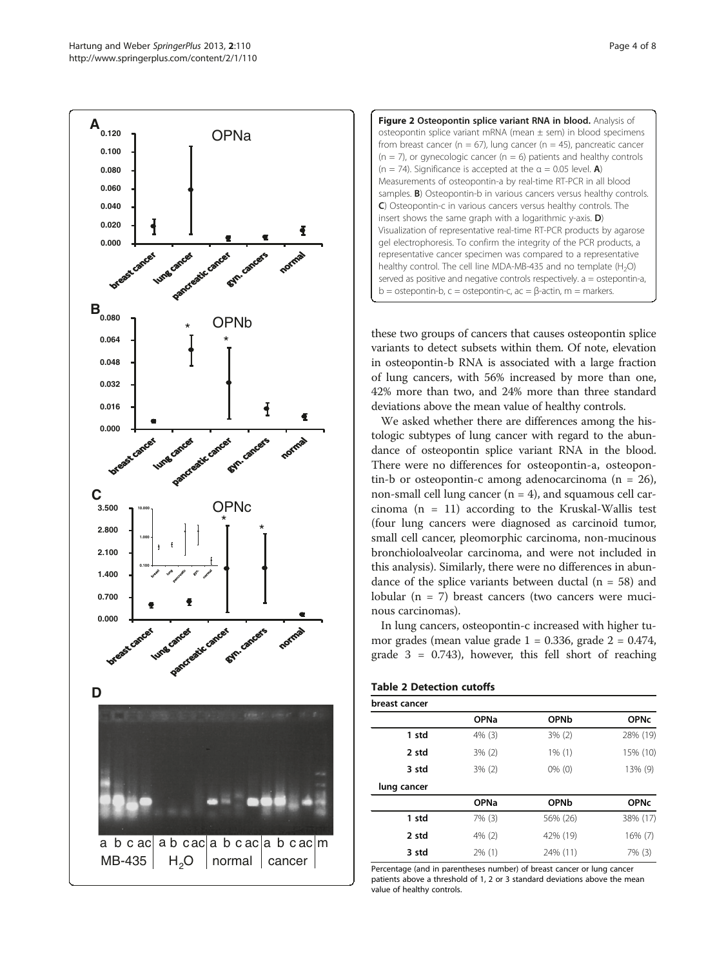<span id="page-3-0"></span>



these two groups of cancers that causes osteopontin splice variants to detect subsets within them. Of note, elevation in osteopontin-b RNA is associated with a large fraction of lung cancers, with 56% increased by more than one, 42% more than two, and 24% more than three standard deviations above the mean value of healthy controls.

We asked whether there are differences among the histologic subtypes of lung cancer with regard to the abundance of osteopontin splice variant RNA in the blood. There were no differences for osteopontin-a, osteopontin-b or osteopontin-c among adenocarcinoma (n = 26), non-small cell lung cancer  $(n = 4)$ , and squamous cell carcinoma  $(n = 11)$  according to the Kruskal-Wallis test (four lung cancers were diagnosed as carcinoid tumor, small cell cancer, pleomorphic carcinoma, non-mucinous bronchioloalveolar carcinoma, and were not included in this analysis). Similarly, there were no differences in abundance of the splice variants between ductal ( $n = 58$ ) and lobular (n = 7) breast cancers (two cancers were mucinous carcinomas).

In lung cancers, osteopontin-c increased with higher tumor grades (mean value grade  $1 = 0.336$ , grade  $2 = 0.474$ , grade  $3 = 0.743$ ), however, this fell short of reaching

| <b>Table 2 Detection cutoffs</b> |
|----------------------------------|
|----------------------------------|

| breast cancer |             |             |             |
|---------------|-------------|-------------|-------------|
|               | <b>OPNa</b> | <b>OPNb</b> | <b>OPNc</b> |
| 1 std         | $4\%$ (3)   | 3% (2)      | 28% (19)    |
| 2 std         | 3% (2)      | $1\%$ (1)   | 15% (10)    |
| 3 std         | 3% (2)      | $0\%$ (0)   | 13% (9)     |
| lung cancer   |             |             |             |
|               | <b>OPNa</b> | <b>OPNb</b> | <b>OPNc</b> |
| 1 std         | 7% (3)      | 56% (26)    | 38% (17)    |
| 2 std         | $4\%$ (2)   | 42% (19)    | $16\%$ (7)  |
| 3 std         | $2\%$ (1)   | 24% (11)    | 7% (3)      |

Percentage (and in parentheses number) of breast cancer or lung cancer patients above a threshold of 1, 2 or 3 standard deviations above the mean value of healthy controls.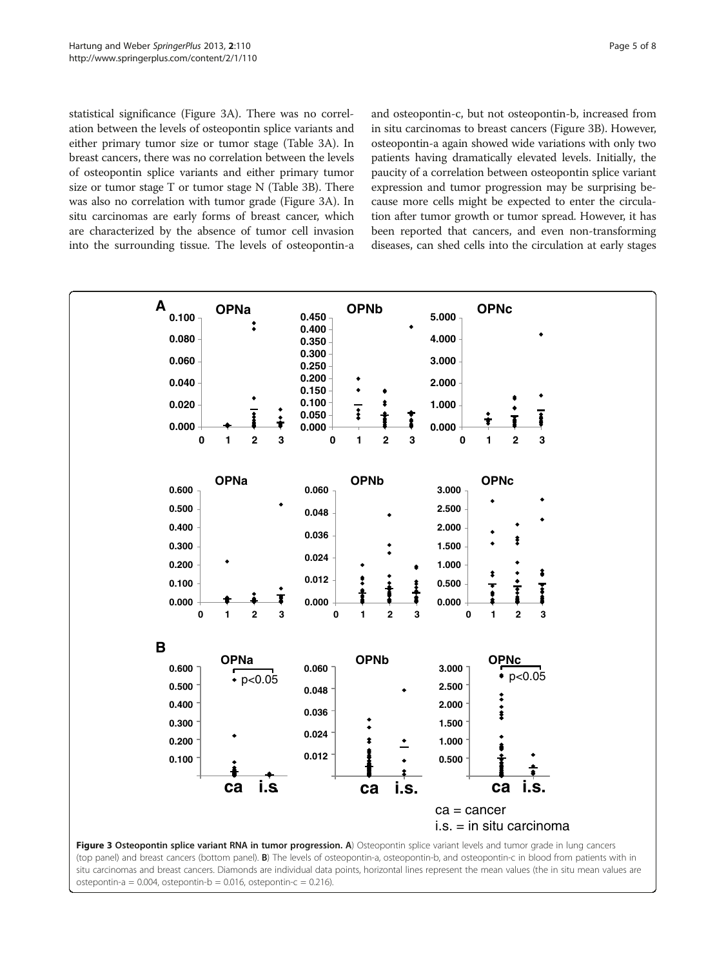statistical significance (Figure 3A). There was no correlation between the levels of osteopontin splice variants and either primary tumor size or tumor stage (Table [3](#page-5-0)A). In breast cancers, there was no correlation between the levels of osteopontin splice variants and either primary tumor size or tumor stage T or tumor stage N (Table [3B](#page-5-0)). There was also no correlation with tumor grade (Figure 3A). In situ carcinomas are early forms of breast cancer, which are characterized by the absence of tumor cell invasion into the surrounding tissue. The levels of osteopontin-a and osteopontin-c, but not osteopontin-b, increased from in situ carcinomas to breast cancers (Figure 3B). However, osteopontin-a again showed wide variations with only two patients having dramatically elevated levels. Initially, the paucity of a correlation between osteopontin splice variant expression and tumor progression may be surprising because more cells might be expected to enter the circulation after tumor growth or tumor spread. However, it has been reported that cancers, and even non-transforming diseases, can shed cells into the circulation at early stages



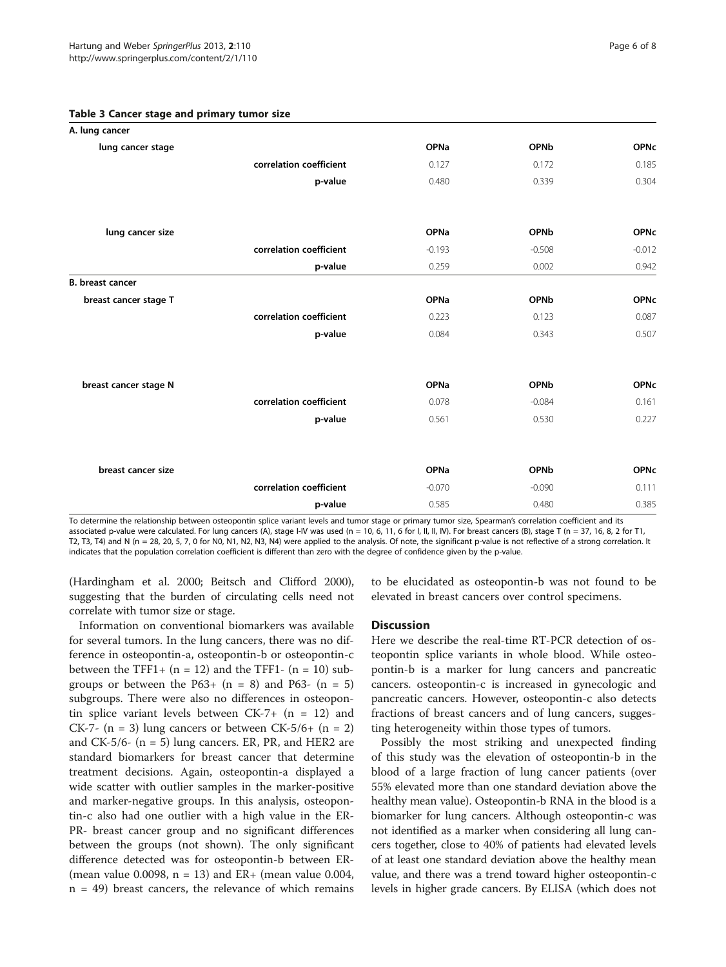<span id="page-5-0"></span>

| Table 3 Cancer stage and primary tumor size |  |  |  |  |  |
|---------------------------------------------|--|--|--|--|--|
|---------------------------------------------|--|--|--|--|--|

| A. lung cancer          |                         |             |             |             |
|-------------------------|-------------------------|-------------|-------------|-------------|
| lung cancer stage       |                         | <b>OPNa</b> | OPNb        | <b>OPNc</b> |
|                         | correlation coefficient | 0.127       | 0.172       | 0.185       |
|                         | p-value                 | 0.480       | 0.339       | 0.304       |
| lung cancer size        |                         | <b>OPNa</b> | OPNb        | <b>OPNc</b> |
|                         | correlation coefficient | $-0.193$    | $-0.508$    | $-0.012$    |
|                         | p-value                 | 0.259       | 0.002       | 0.942       |
| <b>B.</b> breast cancer |                         |             |             |             |
| breast cancer stage T   |                         | <b>OPNa</b> | OPNb        | <b>OPNc</b> |
|                         | correlation coefficient | 0.223       | 0.123       | 0.087       |
|                         | p-value                 | 0.084       | 0.343       | 0.507       |
| breast cancer stage N   |                         | <b>OPNa</b> | OPNb        | <b>OPNc</b> |
|                         | correlation coefficient | 0.078       | $-0.084$    | 0.161       |
|                         | p-value                 | 0.561       | 0.530       | 0.227       |
| breast cancer size      |                         | <b>OPNa</b> | <b>OPNb</b> | <b>OPNc</b> |
|                         | correlation coefficient | $-0.070$    | $-0.090$    | 0.111       |
|                         | p-value                 | 0.585       | 0.480       | 0.385       |

To determine the relationship between osteopontin splice variant levels and tumor stage or primary tumor size, Spearman's correlation coefficient and its associated p-value were calculated. For lung cancers (A), stage I-IV was used (n = 10, 6, 11, 6 for I, II, II, IV). For breast cancers (B), stage T (n = 37, 16, 8, 2 for T1, T2, T3, T4) and N (n = 28, 20, 5, 7, 0 for N0, N1, N2, N3, N4) were applied to the analysis. Of note, the significant p-value is not reflective of a strong correlation. It indicates that the population correlation coefficient is different than zero with the degree of confidence given by the p-value.

(Hardingham et al. [2000;](#page-7-0) Beitsch and Clifford [2000](#page-7-0)), suggesting that the burden of circulating cells need not correlate with tumor size or stage.

Information on conventional biomarkers was available for several tumors. In the lung cancers, there was no difference in osteopontin-a, osteopontin-b or osteopontin-c between the TFF1+  $(n = 12)$  and the TFF1-  $(n = 10)$  subgroups or between the  $P63+ (n = 8)$  and P63-  $(n = 5)$ subgroups. There were also no differences in osteopontin splice variant levels between  $CK-7+$  (n = 12) and CK-7-  $(n = 3)$  lung cancers or between CK-5/6+  $(n = 2)$ and CK-5/6-  $(n = 5)$  lung cancers. ER, PR, and HER2 are standard biomarkers for breast cancer that determine treatment decisions. Again, osteopontin-a displayed a wide scatter with outlier samples in the marker-positive and marker-negative groups. In this analysis, osteopontin-c also had one outlier with a high value in the ER-PR- breast cancer group and no significant differences between the groups (not shown). The only significant difference detected was for osteopontin-b between ER- (mean value 0.0098,  $n = 13$ ) and ER+ (mean value 0.004,  $n = 49$ ) breast cancers, the relevance of which remains to be elucidated as osteopontin-b was not found to be elevated in breast cancers over control specimens.

### **Discussion**

Here we describe the real-time RT-PCR detection of osteopontin splice variants in whole blood. While osteopontin-b is a marker for lung cancers and pancreatic cancers. osteopontin-c is increased in gynecologic and pancreatic cancers. However, osteopontin-c also detects fractions of breast cancers and of lung cancers, suggesting heterogeneity within those types of tumors.

Possibly the most striking and unexpected finding of this study was the elevation of osteopontin-b in the blood of a large fraction of lung cancer patients (over 55% elevated more than one standard deviation above the healthy mean value). Osteopontin-b RNA in the blood is a biomarker for lung cancers. Although osteopontin-c was not identified as a marker when considering all lung cancers together, close to 40% of patients had elevated levels of at least one standard deviation above the healthy mean value, and there was a trend toward higher osteopontin-c levels in higher grade cancers. By ELISA (which does not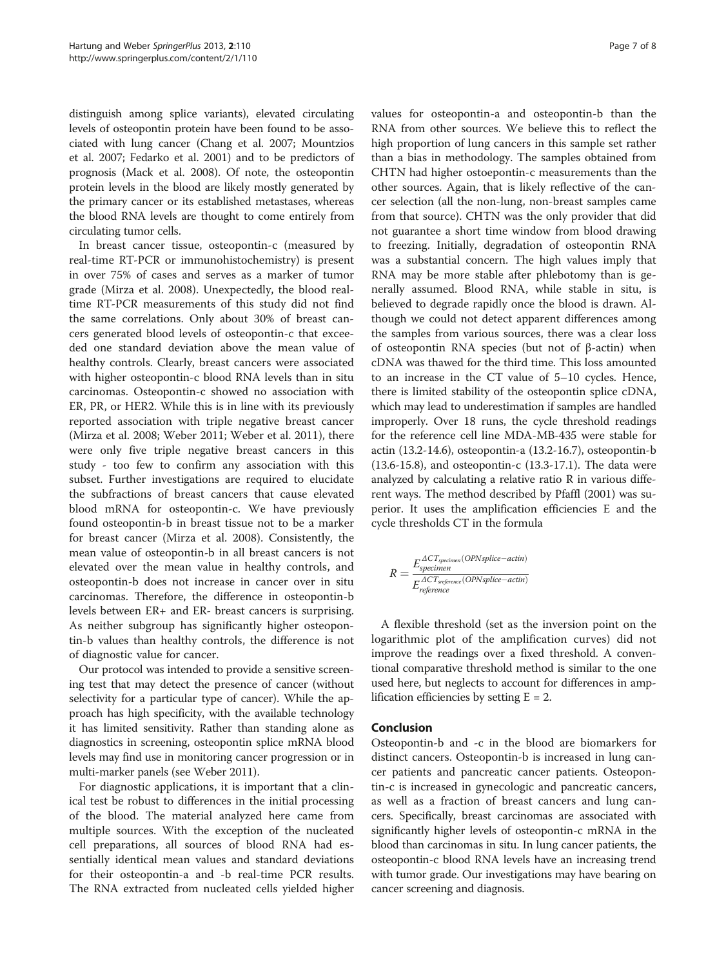distinguish among splice variants), elevated circulating levels of osteopontin protein have been found to be associated with lung cancer (Chang et al. [2007](#page-7-0); Mountzios et al. [2007](#page-7-0); Fedarko et al. [2001\)](#page-7-0) and to be predictors of prognosis (Mack et al. [2008\)](#page-7-0). Of note, the osteopontin protein levels in the blood are likely mostly generated by the primary cancer or its established metastases, whereas the blood RNA levels are thought to come entirely from circulating tumor cells.

In breast cancer tissue, osteopontin-c (measured by real-time RT-PCR or immunohistochemistry) is present in over 75% of cases and serves as a marker of tumor grade (Mirza et al. [2008\)](#page-7-0). Unexpectedly, the blood realtime RT-PCR measurements of this study did not find the same correlations. Only about 30% of breast cancers generated blood levels of osteopontin-c that exceeded one standard deviation above the mean value of healthy controls. Clearly, breast cancers were associated with higher osteopontin-c blood RNA levels than in situ carcinomas. Osteopontin-c showed no association with ER, PR, or HER2. While this is in line with its previously reported association with triple negative breast cancer (Mirza et al. [2008;](#page-7-0) Weber [2011;](#page-7-0) Weber et al. [2011](#page-7-0)), there were only five triple negative breast cancers in this study - too few to confirm any association with this subset. Further investigations are required to elucidate the subfractions of breast cancers that cause elevated blood mRNA for osteopontin-c. We have previously found osteopontin-b in breast tissue not to be a marker for breast cancer (Mirza et al. [2008\)](#page-7-0). Consistently, the mean value of osteopontin-b in all breast cancers is not elevated over the mean value in healthy controls, and osteopontin-b does not increase in cancer over in situ carcinomas. Therefore, the difference in osteopontin-b levels between ER+ and ER- breast cancers is surprising. As neither subgroup has significantly higher osteopontin-b values than healthy controls, the difference is not of diagnostic value for cancer.

Our protocol was intended to provide a sensitive screening test that may detect the presence of cancer (without selectivity for a particular type of cancer). While the approach has high specificity, with the available technology it has limited sensitivity. Rather than standing alone as diagnostics in screening, osteopontin splice mRNA blood levels may find use in monitoring cancer progression or in multi-marker panels (see Weber [2011\)](#page-7-0).

For diagnostic applications, it is important that a clinical test be robust to differences in the initial processing of the blood. The material analyzed here came from multiple sources. With the exception of the nucleated cell preparations, all sources of blood RNA had essentially identical mean values and standard deviations for their osteopontin-a and -b real-time PCR results. The RNA extracted from nucleated cells yielded higher

values for osteopontin-a and osteopontin-b than the RNA from other sources. We believe this to reflect the high proportion of lung cancers in this sample set rather than a bias in methodology. The samples obtained from CHTN had higher ostoepontin-c measurements than the other sources. Again, that is likely reflective of the cancer selection (all the non-lung, non-breast samples came from that source). CHTN was the only provider that did not guarantee a short time window from blood drawing to freezing. Initially, degradation of osteopontin RNA was a substantial concern. The high values imply that RNA may be more stable after phlebotomy than is generally assumed. Blood RNA, while stable in situ, is believed to degrade rapidly once the blood is drawn. Although we could not detect apparent differences among the samples from various sources, there was a clear loss of osteopontin RNA species (but not of β-actin) when cDNA was thawed for the third time. This loss amounted to an increase in the CT value of 5–10 cycles. Hence, there is limited stability of the osteopontin splice cDNA, which may lead to underestimation if samples are handled improperly. Over 18 runs, the cycle threshold readings for the reference cell line MDA-MB-435 were stable for actin (13.2-14.6), osteopontin-a (13.2-16.7), osteopontin-b (13.6-15.8), and osteopontin-c (13.3-17.1). The data were analyzed by calculating a relative ratio R in various different ways. The method described by Pfaffl [\(2001\)](#page-7-0) was superior. It uses the amplification efficiencies E and the cycle thresholds CT in the formula

$$
R = \frac{E_{specimen}^{ACT_{specimen}(OPN splice-actin)}}{E_{reference}^{ACT_{seference}(OPN splice-actin)}}
$$

A flexible threshold (set as the inversion point on the logarithmic plot of the amplification curves) did not improve the readings over a fixed threshold. A conventional comparative threshold method is similar to the one used here, but neglects to account for differences in amplification efficiencies by setting  $E = 2$ .

## Conclusion

Osteopontin-b and -c in the blood are biomarkers for distinct cancers. Osteopontin-b is increased in lung cancer patients and pancreatic cancer patients. Osteopontin-c is increased in gynecologic and pancreatic cancers, as well as a fraction of breast cancers and lung cancers. Specifically, breast carcinomas are associated with significantly higher levels of osteopontin-c mRNA in the blood than carcinomas in situ. In lung cancer patients, the osteopontin-c blood RNA levels have an increasing trend with tumor grade. Our investigations may have bearing on cancer screening and diagnosis.